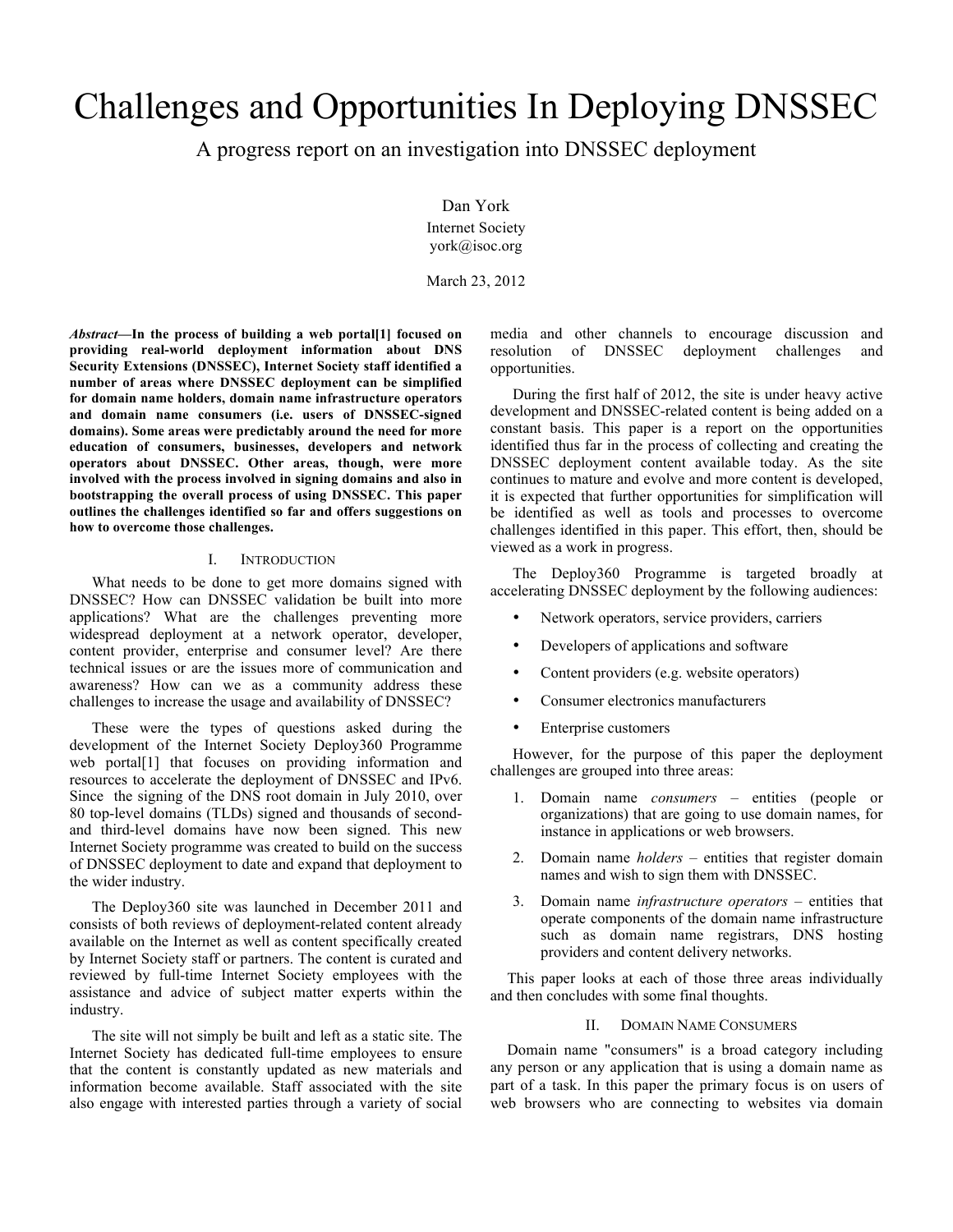# Challenges and Opportunities In Deploying DNSSEC

A progress report on an investigation into DNSSEC deployment

Dan York

Internet Society york@isoc.org

March 23, 2012

*Abstract***—In the process of building a web portal[1] focused on providing real-world deployment information about DNS Security Extensions (DNSSEC), Internet Society staff identified a number of areas where DNSSEC deployment can be simplified for domain name holders, domain name infrastructure operators and domain name consumers (i.e. users of DNSSEC-signed domains). Some areas were predictably around the need for more education of consumers, businesses, developers and network operators about DNSSEC. Other areas, though, were more involved with the process involved in signing domains and also in bootstrapping the overall process of using DNSSEC. This paper outlines the challenges identified so far and offers suggestions on how to overcome those challenges.**

#### I. INTRODUCTION

What needs to be done to get more domains signed with DNSSEC? How can DNSSEC validation be built into more applications? What are the challenges preventing more widespread deployment at a network operator, developer, content provider, enterprise and consumer level? Are there technical issues or are the issues more of communication and awareness? How can we as a community address these challenges to increase the usage and availability of DNSSEC?

These were the types of questions asked during the development of the Internet Society Deploy360 Programme web portal[1] that focuses on providing information and resources to accelerate the deployment of DNSSEC and IPv6. Since the signing of the DNS root domain in July 2010, over 80 top-level domains (TLDs) signed and thousands of secondand third-level domains have now been signed. This new Internet Society programme was created to build on the success of DNSSEC deployment to date and expand that deployment to the wider industry.

The Deploy360 site was launched in December 2011 and consists of both reviews of deployment-related content already available on the Internet as well as content specifically created by Internet Society staff or partners. The content is curated and reviewed by full-time Internet Society employees with the assistance and advice of subject matter experts within the industry.

The site will not simply be built and left as a static site. The Internet Society has dedicated full-time employees to ensure that the content is constantly updated as new materials and information become available. Staff associated with the site also engage with interested parties through a variety of social

media and other channels to encourage discussion and resolution of DNSSEC deployment challenges and opportunities.

During the first half of 2012, the site is under heavy active development and DNSSEC-related content is being added on a constant basis. This paper is a report on the opportunities identified thus far in the process of collecting and creating the DNSSEC deployment content available today. As the site continues to mature and evolve and more content is developed, it is expected that further opportunities for simplification will be identified as well as tools and processes to overcome challenges identified in this paper. This effort, then, should be viewed as a work in progress.

The Deploy360 Programme is targeted broadly at accelerating DNSSEC deployment by the following audiences:

- Network operators, service providers, carriers
- Developers of applications and software
- Content providers (e.g. website operators)
- Consumer electronics manufacturers
- Enterprise customers

However, for the purpose of this paper the deployment challenges are grouped into three areas:

- 1. Domain name *consumers* entities (people or organizations) that are going to use domain names, for instance in applications or web browsers.
- 2. Domain name *holders* entities that register domain names and wish to sign them with DNSSEC.
- 3. Domain name *infrastructure operators* entities that operate components of the domain name infrastructure such as domain name registrars, DNS hosting providers and content delivery networks.

This paper looks at each of those three areas individually and then concludes with some final thoughts.

#### II. DOMAIN NAME CONSUMERS

Domain name "consumers" is a broad category including any person or any application that is using a domain name as part of a task. In this paper the primary focus is on users of web browsers who are connecting to websites via domain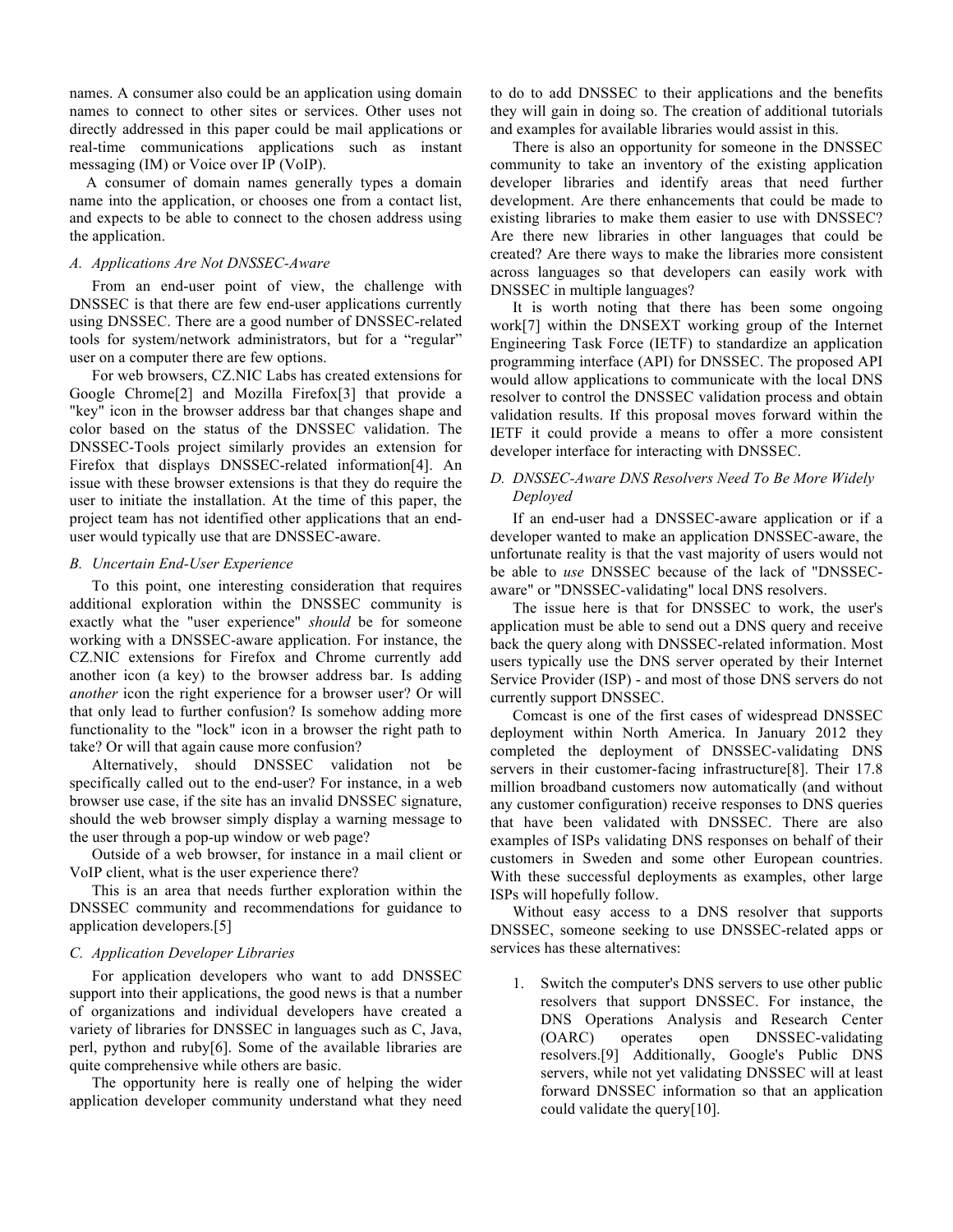names. A consumer also could be an application using domain names to connect to other sites or services. Other uses not directly addressed in this paper could be mail applications or real-time communications applications such as instant messaging (IM) or Voice over IP (VoIP).

A consumer of domain names generally types a domain name into the application, or chooses one from a contact list, and expects to be able to connect to the chosen address using the application.

#### *A. Applications Are Not DNSSEC-Aware*

From an end-user point of view, the challenge with DNSSEC is that there are few end-user applications currently using DNSSEC. There are a good number of DNSSEC-related tools for system/network administrators, but for a "regular" user on a computer there are few options.

For web browsers, CZ.NIC Labs has created extensions for Google Chrome[2] and Mozilla Firefox[3] that provide a "key" icon in the browser address bar that changes shape and color based on the status of the DNSSEC validation. The DNSSEC-Tools project similarly provides an extension for Firefox that displays DNSSEC-related information[4]. An issue with these browser extensions is that they do require the user to initiate the installation. At the time of this paper, the project team has not identified other applications that an enduser would typically use that are DNSSEC-aware.

#### *B. Uncertain End-User Experience*

To this point, one interesting consideration that requires additional exploration within the DNSSEC community is exactly what the "user experience" *should* be for someone working with a DNSSEC-aware application. For instance, the CZ.NIC extensions for Firefox and Chrome currently add another icon (a key) to the browser address bar. Is adding *another* icon the right experience for a browser user? Or will that only lead to further confusion? Is somehow adding more functionality to the "lock" icon in a browser the right path to take? Or will that again cause more confusion?

Alternatively, should DNSSEC validation not be specifically called out to the end-user? For instance, in a web browser use case, if the site has an invalid DNSSEC signature, should the web browser simply display a warning message to the user through a pop-up window or web page?

Outside of a web browser, for instance in a mail client or VoIP client, what is the user experience there?

This is an area that needs further exploration within the DNSSEC community and recommendations for guidance to application developers.[5]

#### *C. Application Developer Libraries*

For application developers who want to add DNSSEC support into their applications, the good news is that a number of organizations and individual developers have created a variety of libraries for DNSSEC in languages such as C, Java, perl, python and ruby[6]. Some of the available libraries are quite comprehensive while others are basic.

The opportunity here is really one of helping the wider application developer community understand what they need

to do to add DNSSEC to their applications and the benefits they will gain in doing so. The creation of additional tutorials and examples for available libraries would assist in this.

There is also an opportunity for someone in the DNSSEC community to take an inventory of the existing application developer libraries and identify areas that need further development. Are there enhancements that could be made to existing libraries to make them easier to use with DNSSEC? Are there new libraries in other languages that could be created? Are there ways to make the libraries more consistent across languages so that developers can easily work with DNSSEC in multiple languages?

It is worth noting that there has been some ongoing work[7] within the DNSEXT working group of the Internet Engineering Task Force (IETF) to standardize an application programming interface (API) for DNSSEC. The proposed API would allow applications to communicate with the local DNS resolver to control the DNSSEC validation process and obtain validation results. If this proposal moves forward within the IETF it could provide a means to offer a more consistent developer interface for interacting with DNSSEC.

# *D. DNSSEC-Aware DNS Resolvers Need To Be More Widely Deployed*

If an end-user had a DNSSEC-aware application or if a developer wanted to make an application DNSSEC-aware, the unfortunate reality is that the vast majority of users would not be able to *use* DNSSEC because of the lack of "DNSSECaware" or "DNSSEC-validating" local DNS resolvers.

The issue here is that for DNSSEC to work, the user's application must be able to send out a DNS query and receive back the query along with DNSSEC-related information. Most users typically use the DNS server operated by their Internet Service Provider (ISP) - and most of those DNS servers do not currently support DNSSEC.

Comcast is one of the first cases of widespread DNSSEC deployment within North America. In January 2012 they completed the deployment of DNSSEC-validating DNS servers in their customer-facing infrastructure[8]. Their 17.8 million broadband customers now automatically (and without any customer configuration) receive responses to DNS queries that have been validated with DNSSEC. There are also examples of ISPs validating DNS responses on behalf of their customers in Sweden and some other European countries. With these successful deployments as examples, other large ISPs will hopefully follow.

Without easy access to a DNS resolver that supports DNSSEC, someone seeking to use DNSSEC-related apps or services has these alternatives:

1. Switch the computer's DNS servers to use other public resolvers that support DNSSEC. For instance, the DNS Operations Analysis and Research Center (OARC) operates open DNSSEC-validating resolvers.[9] Additionally, Google's Public DNS servers, while not yet validating DNSSEC will at least forward DNSSEC information so that an application could validate the query[10].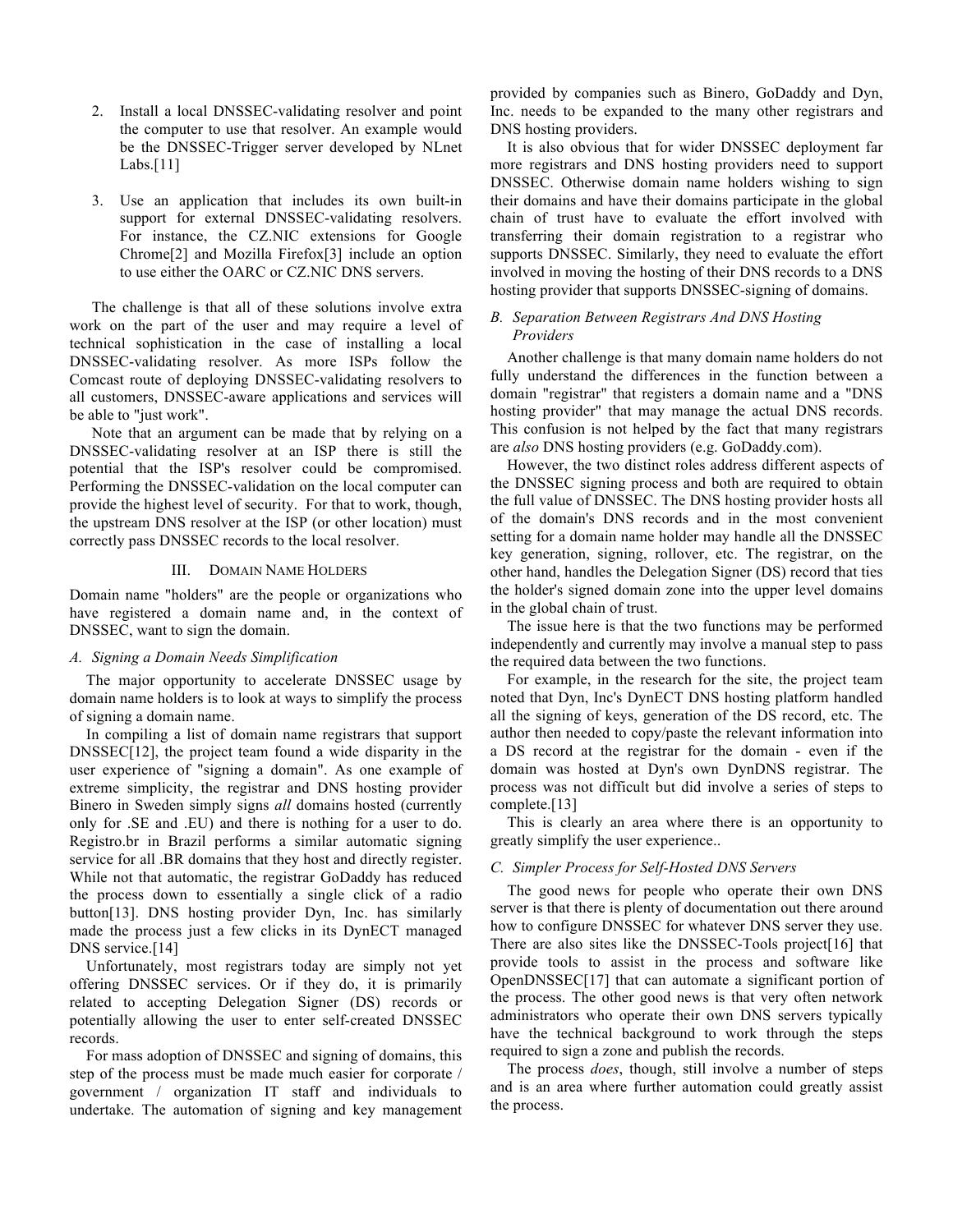- 2. Install a local DNSSEC-validating resolver and point the computer to use that resolver. An example would be the DNSSEC-Trigger server developed by NLnet Labs.[11]
- 3. Use an application that includes its own built-in support for external DNSSEC-validating resolvers. For instance, the CZ.NIC extensions for Google Chrome[2] and Mozilla Firefox[3] include an option to use either the OARC or CZ.NIC DNS servers.

The challenge is that all of these solutions involve extra work on the part of the user and may require a level of technical sophistication in the case of installing a local DNSSEC-validating resolver. As more ISPs follow the Comcast route of deploying DNSSEC-validating resolvers to all customers, DNSSEC-aware applications and services will be able to "just work".

Note that an argument can be made that by relying on a DNSSEC-validating resolver at an ISP there is still the potential that the ISP's resolver could be compromised. Performing the DNSSEC-validation on the local computer can provide the highest level of security. For that to work, though, the upstream DNS resolver at the ISP (or other location) must correctly pass DNSSEC records to the local resolver.

#### III. DOMAIN NAME HOLDERS

Domain name "holders" are the people or organizations who have registered a domain name and, in the context of DNSSEC, want to sign the domain.

### *A. Signing a Domain Needs Simplification*

The major opportunity to accelerate DNSSEC usage by domain name holders is to look at ways to simplify the process of signing a domain name.

In compiling a list of domain name registrars that support DNSSEC[12], the project team found a wide disparity in the user experience of "signing a domain". As one example of extreme simplicity, the registrar and DNS hosting provider Binero in Sweden simply signs *all* domains hosted (currently only for .SE and .EU) and there is nothing for a user to do. Registro.br in Brazil performs a similar automatic signing service for all .BR domains that they host and directly register. While not that automatic, the registrar GoDaddy has reduced the process down to essentially a single click of a radio button[13]. DNS hosting provider Dyn, Inc. has similarly made the process just a few clicks in its DynECT managed DNS service.<sup>[14]</sup>

Unfortunately, most registrars today are simply not yet offering DNSSEC services. Or if they do, it is primarily related to accepting Delegation Signer (DS) records or potentially allowing the user to enter self-created DNSSEC records.

For mass adoption of DNSSEC and signing of domains, this step of the process must be made much easier for corporate / government / organization IT staff and individuals to undertake. The automation of signing and key management provided by companies such as Binero, GoDaddy and Dyn, Inc. needs to be expanded to the many other registrars and DNS hosting providers.

It is also obvious that for wider DNSSEC deployment far more registrars and DNS hosting providers need to support DNSSEC. Otherwise domain name holders wishing to sign their domains and have their domains participate in the global chain of trust have to evaluate the effort involved with transferring their domain registration to a registrar who supports DNSSEC. Similarly, they need to evaluate the effort involved in moving the hosting of their DNS records to a DNS hosting provider that supports DNSSEC-signing of domains.

# *B. Separation Between Registrars And DNS Hosting Providers*

Another challenge is that many domain name holders do not fully understand the differences in the function between a domain "registrar" that registers a domain name and a "DNS hosting provider" that may manage the actual DNS records. This confusion is not helped by the fact that many registrars are *also* DNS hosting providers (e.g. GoDaddy.com).

However, the two distinct roles address different aspects of the DNSSEC signing process and both are required to obtain the full value of DNSSEC. The DNS hosting provider hosts all of the domain's DNS records and in the most convenient setting for a domain name holder may handle all the DNSSEC key generation, signing, rollover, etc. The registrar, on the other hand, handles the Delegation Signer (DS) record that ties the holder's signed domain zone into the upper level domains in the global chain of trust.

The issue here is that the two functions may be performed independently and currently may involve a manual step to pass the required data between the two functions.

For example, in the research for the site, the project team noted that Dyn, Inc's DynECT DNS hosting platform handled all the signing of keys, generation of the DS record, etc. The author then needed to copy/paste the relevant information into a DS record at the registrar for the domain - even if the domain was hosted at Dyn's own DynDNS registrar. The process was not difficult but did involve a series of steps to complete.[13]

This is clearly an area where there is an opportunity to greatly simplify the user experience..

#### *C. Simpler Process for Self-Hosted DNS Servers*

The good news for people who operate their own DNS server is that there is plenty of documentation out there around how to configure DNSSEC for whatever DNS server they use. There are also sites like the DNSSEC-Tools project<sup>[16]</sup> that provide tools to assist in the process and software like OpenDNSSEC[17] that can automate a significant portion of the process. The other good news is that very often network administrators who operate their own DNS servers typically have the technical background to work through the steps required to sign a zone and publish the records.

The process *does*, though, still involve a number of steps and is an area where further automation could greatly assist the process.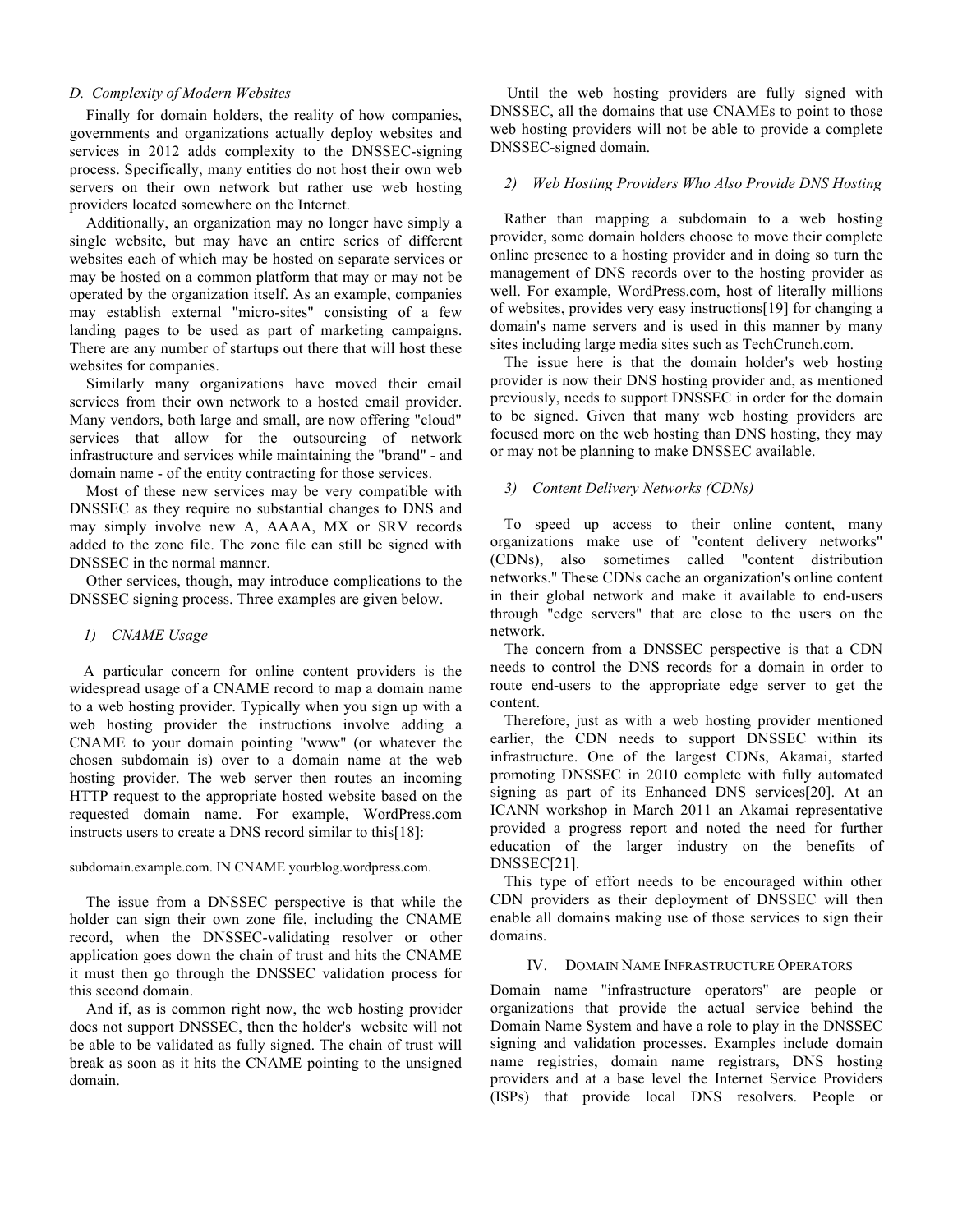#### *D. Complexity of Modern Websites*

Finally for domain holders, the reality of how companies, governments and organizations actually deploy websites and services in 2012 adds complexity to the DNSSEC-signing process. Specifically, many entities do not host their own web servers on their own network but rather use web hosting providers located somewhere on the Internet.

Additionally, an organization may no longer have simply a single website, but may have an entire series of different websites each of which may be hosted on separate services or may be hosted on a common platform that may or may not be operated by the organization itself. As an example, companies may establish external "micro-sites" consisting of a few landing pages to be used as part of marketing campaigns. There are any number of startups out there that will host these websites for companies.

Similarly many organizations have moved their email services from their own network to a hosted email provider. Many vendors, both large and small, are now offering "cloud" services that allow for the outsourcing of network infrastructure and services while maintaining the "brand" - and domain name - of the entity contracting for those services.

Most of these new services may be very compatible with DNSSEC as they require no substantial changes to DNS and may simply involve new A, AAAA, MX or SRV records added to the zone file. The zone file can still be signed with DNSSEC in the normal manner.

Other services, though, may introduce complications to the DNSSEC signing process. Three examples are given below.

## *1) CNAME Usage*

A particular concern for online content providers is the widespread usage of a CNAME record to map a domain name to a web hosting provider. Typically when you sign up with a web hosting provider the instructions involve adding a CNAME to your domain pointing "www" (or whatever the chosen subdomain is) over to a domain name at the web hosting provider. The web server then routes an incoming HTTP request to the appropriate hosted website based on the requested domain name. For example, WordPress.com instructs users to create a DNS record similar to this[18]:

#### subdomain.example.com. IN CNAME yourblog.wordpress.com.

The issue from a DNSSEC perspective is that while the holder can sign their own zone file, including the CNAME record, when the DNSSEC-validating resolver or other application goes down the chain of trust and hits the CNAME it must then go through the DNSSEC validation process for this second domain.

And if, as is common right now, the web hosting provider does not support DNSSEC, then the holder's website will not be able to be validated as fully signed. The chain of trust will break as soon as it hits the CNAME pointing to the unsigned domain.

Until the web hosting providers are fully signed with DNSSEC, all the domains that use CNAMEs to point to those web hosting providers will not be able to provide a complete DNSSEC-signed domain.

# *2) Web Hosting Providers Who Also Provide DNS Hosting*

Rather than mapping a subdomain to a web hosting provider, some domain holders choose to move their complete online presence to a hosting provider and in doing so turn the management of DNS records over to the hosting provider as well. For example, WordPress.com, host of literally millions of websites, provides very easy instructions[19] for changing a domain's name servers and is used in this manner by many sites including large media sites such as TechCrunch.com.

The issue here is that the domain holder's web hosting provider is now their DNS hosting provider and, as mentioned previously, needs to support DNSSEC in order for the domain to be signed. Given that many web hosting providers are focused more on the web hosting than DNS hosting, they may or may not be planning to make DNSSEC available.

# *3) Content Delivery Networks (CDNs)*

To speed up access to their online content, many organizations make use of "content delivery networks" (CDNs), also sometimes called "content distribution networks." These CDNs cache an organization's online content in their global network and make it available to end-users through "edge servers" that are close to the users on the network.

The concern from a DNSSEC perspective is that a CDN needs to control the DNS records for a domain in order to route end-users to the appropriate edge server to get the content.

Therefore, just as with a web hosting provider mentioned earlier, the CDN needs to support DNSSEC within its infrastructure. One of the largest CDNs, Akamai, started promoting DNSSEC in 2010 complete with fully automated signing as part of its Enhanced DNS services[20]. At an ICANN workshop in March 2011 an Akamai representative provided a progress report and noted the need for further education of the larger industry on the benefits of DNSSEC[21].

This type of effort needs to be encouraged within other CDN providers as their deployment of DNSSEC will then enable all domains making use of those services to sign their domains.

# IV. DOMAIN NAME INFRASTRUCTURE OPERATORS

Domain name "infrastructure operators" are people or organizations that provide the actual service behind the Domain Name System and have a role to play in the DNSSEC signing and validation processes. Examples include domain name registries, domain name registrars, DNS hosting providers and at a base level the Internet Service Providers (ISPs) that provide local DNS resolvers. People or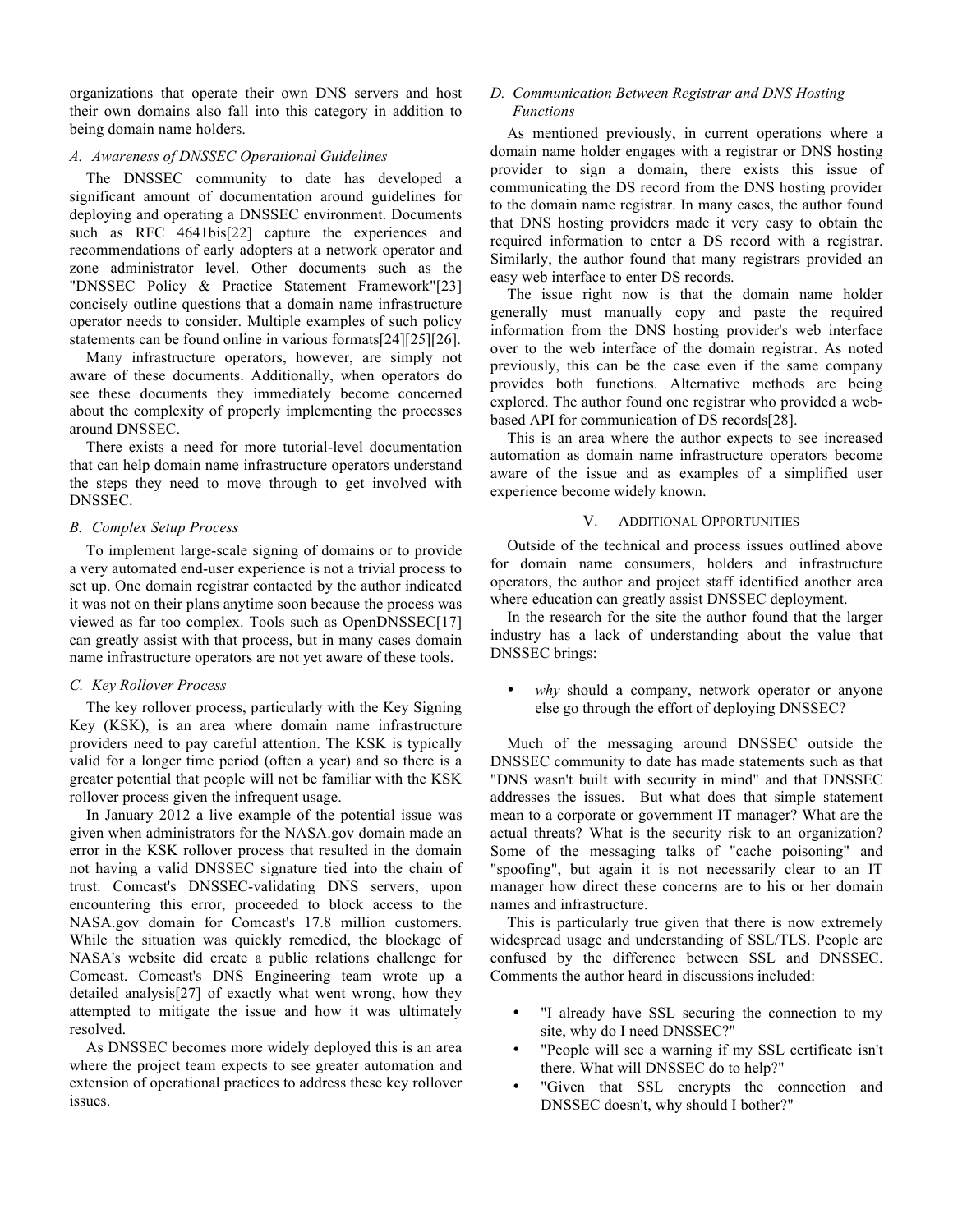organizations that operate their own DNS servers and host their own domains also fall into this category in addition to being domain name holders.

#### *A. Awareness of DNSSEC Operational Guidelines*

The DNSSEC community to date has developed a significant amount of documentation around guidelines for deploying and operating a DNSSEC environment. Documents such as RFC 4641bis[22] capture the experiences and recommendations of early adopters at a network operator and zone administrator level. Other documents such as the "DNSSEC Policy & Practice Statement Framework"[23] concisely outline questions that a domain name infrastructure operator needs to consider. Multiple examples of such policy statements can be found online in various formats[24][25][26].

Many infrastructure operators, however, are simply not aware of these documents. Additionally, when operators do see these documents they immediately become concerned about the complexity of properly implementing the processes around DNSSEC.

There exists a need for more tutorial-level documentation that can help domain name infrastructure operators understand the steps they need to move through to get involved with DNSSEC.

#### *B. Complex Setup Process*

To implement large-scale signing of domains or to provide a very automated end-user experience is not a trivial process to set up. One domain registrar contacted by the author indicated it was not on their plans anytime soon because the process was viewed as far too complex. Tools such as OpenDNSSEC[17] can greatly assist with that process, but in many cases domain name infrastructure operators are not yet aware of these tools.

#### *C. Key Rollover Process*

The key rollover process, particularly with the Key Signing Key (KSK), is an area where domain name infrastructure providers need to pay careful attention. The KSK is typically valid for a longer time period (often a year) and so there is a greater potential that people will not be familiar with the KSK rollover process given the infrequent usage.

In January 2012 a live example of the potential issue was given when administrators for the NASA.gov domain made an error in the KSK rollover process that resulted in the domain not having a valid DNSSEC signature tied into the chain of trust. Comcast's DNSSEC-validating DNS servers, upon encountering this error, proceeded to block access to the NASA.gov domain for Comcast's 17.8 million customers. While the situation was quickly remedied, the blockage of NASA's website did create a public relations challenge for Comcast. Comcast's DNS Engineering team wrote up a detailed analysis[27] of exactly what went wrong, how they attempted to mitigate the issue and how it was ultimately resolved.

As DNSSEC becomes more widely deployed this is an area where the project team expects to see greater automation and extension of operational practices to address these key rollover issues.

# *D. Communication Between Registrar and DNS Hosting*

# *Functions*

As mentioned previously, in current operations where a domain name holder engages with a registrar or DNS hosting provider to sign a domain, there exists this issue of communicating the DS record from the DNS hosting provider to the domain name registrar. In many cases, the author found that DNS hosting providers made it very easy to obtain the required information to enter a DS record with a registrar. Similarly, the author found that many registrars provided an easy web interface to enter DS records.

The issue right now is that the domain name holder generally must manually copy and paste the required information from the DNS hosting provider's web interface over to the web interface of the domain registrar. As noted previously, this can be the case even if the same company provides both functions. Alternative methods are being explored. The author found one registrar who provided a webbased API for communication of DS records[28].

This is an area where the author expects to see increased automation as domain name infrastructure operators become aware of the issue and as examples of a simplified user experience become widely known.

#### V. ADDITIONAL OPPORTUNITIES

Outside of the technical and process issues outlined above for domain name consumers, holders and infrastructure operators, the author and project staff identified another area where education can greatly assist DNSSEC deployment.

In the research for the site the author found that the larger industry has a lack of understanding about the value that DNSSEC brings:

why should a company, network operator or anyone else go through the effort of deploying DNSSEC?

Much of the messaging around DNSSEC outside the DNSSEC community to date has made statements such as that "DNS wasn't built with security in mind" and that DNSSEC addresses the issues. But what does that simple statement mean to a corporate or government IT manager? What are the actual threats? What is the security risk to an organization? Some of the messaging talks of "cache poisoning" and "spoofing", but again it is not necessarily clear to an IT manager how direct these concerns are to his or her domain names and infrastructure.

This is particularly true given that there is now extremely widespread usage and understanding of SSL/TLS. People are confused by the difference between SSL and DNSSEC. Comments the author heard in discussions included:

- "I already have SSL securing the connection to my site, why do I need DNSSEC?"
- "People will see a warning if my SSL certificate isn't there. What will DNSSEC do to help?"
- "Given that SSL encrypts the connection and DNSSEC doesn't, why should I bother?"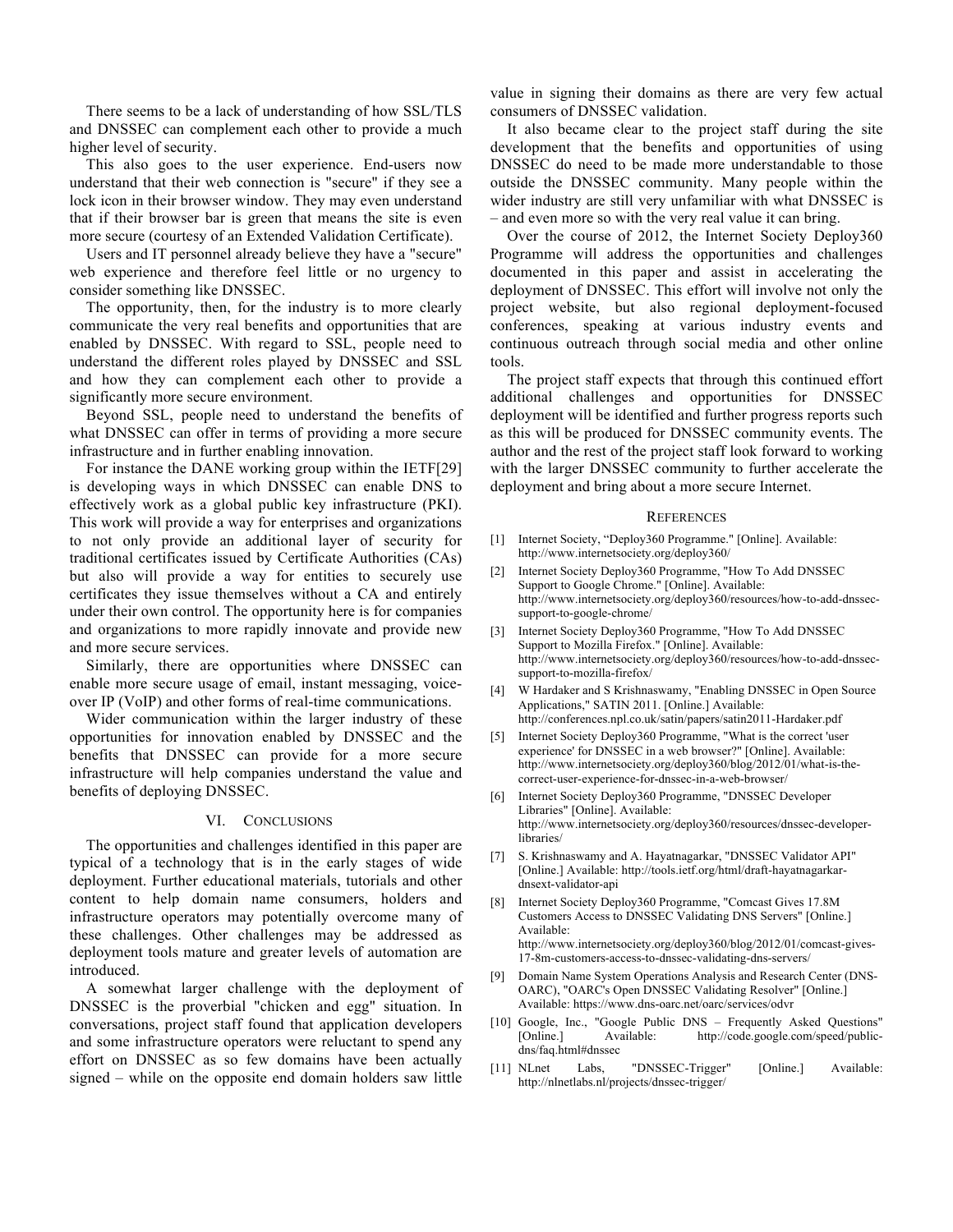There seems to be a lack of understanding of how SSL/TLS and DNSSEC can complement each other to provide a much higher level of security.

This also goes to the user experience. End-users now understand that their web connection is "secure" if they see a lock icon in their browser window. They may even understand that if their browser bar is green that means the site is even more secure (courtesy of an Extended Validation Certificate).

Users and IT personnel already believe they have a "secure" web experience and therefore feel little or no urgency to consider something like DNSSEC.

The opportunity, then, for the industry is to more clearly communicate the very real benefits and opportunities that are enabled by DNSSEC. With regard to SSL, people need to understand the different roles played by DNSSEC and SSL and how they can complement each other to provide a significantly more secure environment.

Beyond SSL, people need to understand the benefits of what DNSSEC can offer in terms of providing a more secure infrastructure and in further enabling innovation.

For instance the DANE working group within the IETF[29] is developing ways in which DNSSEC can enable DNS to effectively work as a global public key infrastructure (PKI). This work will provide a way for enterprises and organizations to not only provide an additional layer of security for traditional certificates issued by Certificate Authorities (CAs) but also will provide a way for entities to securely use certificates they issue themselves without a CA and entirely under their own control. The opportunity here is for companies and organizations to more rapidly innovate and provide new and more secure services.

Similarly, there are opportunities where DNSSEC can enable more secure usage of email, instant messaging, voiceover IP (VoIP) and other forms of real-time communications.

Wider communication within the larger industry of these opportunities for innovation enabled by DNSSEC and the benefits that DNSSEC can provide for a more secure infrastructure will help companies understand the value and benefits of deploying DNSSEC.

#### VI. CONCLUSIONS

The opportunities and challenges identified in this paper are typical of a technology that is in the early stages of wide deployment. Further educational materials, tutorials and other content to help domain name consumers, holders and infrastructure operators may potentially overcome many of these challenges. Other challenges may be addressed as deployment tools mature and greater levels of automation are introduced.

A somewhat larger challenge with the deployment of DNSSEC is the proverbial "chicken and egg" situation. In conversations, project staff found that application developers and some infrastructure operators were reluctant to spend any effort on DNSSEC as so few domains have been actually signed – while on the opposite end domain holders saw little

value in signing their domains as there are very few actual consumers of DNSSEC validation.

It also became clear to the project staff during the site development that the benefits and opportunities of using DNSSEC do need to be made more understandable to those outside the DNSSEC community. Many people within the wider industry are still very unfamiliar with what DNSSEC is – and even more so with the very real value it can bring.

Over the course of 2012, the Internet Society Deploy360 Programme will address the opportunities and challenges documented in this paper and assist in accelerating the deployment of DNSSEC. This effort will involve not only the project website, but also regional deployment-focused conferences, speaking at various industry events and continuous outreach through social media and other online tools.

The project staff expects that through this continued effort additional challenges and opportunities for DNSSEC deployment will be identified and further progress reports such as this will be produced for DNSSEC community events. The author and the rest of the project staff look forward to working with the larger DNSSEC community to further accelerate the deployment and bring about a more secure Internet.

#### **REFERENCES**

- [1] Internet Society, "Deploy360 Programme." [Online]. Available: http://www.internetsociety.org/deploy360/
- [2] Internet Society Deploy360 Programme, "How To Add DNSSEC Support to Google Chrome." [Online]. Available: http://www.internetsociety.org/deploy360/resources/how-to-add-dnssecsupport-to-google-chrome/
- [3] Internet Society Deploy360 Programme, "How To Add DNSSEC Support to Mozilla Firefox." [Online]. Available: http://www.internetsociety.org/deploy360/resources/how-to-add-dnssecsupport-to-mozilla-firefox/
- [4] W Hardaker and S Krishnaswamy, "Enabling DNSSEC in Open Source Applications," SATIN 2011. [Online.] Available: http://conferences.npl.co.uk/satin/papers/satin2011-Hardaker.pdf
- [5] Internet Society Deploy360 Programme, "What is the correct 'user experience' for DNSSEC in a web browser?" [Online]. Available: http://www.internetsociety.org/deploy360/blog/2012/01/what-is-thecorrect-user-experience-for-dnssec-in-a-web-browser/
- [6] Internet Society Deploy360 Programme, "DNSSEC Developer Libraries" [Online]. Available: http://www.internetsociety.org/deploy360/resources/dnssec-developerlibraries/
- [7] S. Krishnaswamy and A. Hayatnagarkar, "DNSSEC Validator API" [Online.] Available: http://tools.ietf.org/html/draft-hayatnagarkardnsext-validator-api
- [8] Internet Society Deploy360 Programme, "Comcast Gives 17.8M Customers Access to DNSSEC Validating DNS Servers" [Online.] Available: http://www.internetsociety.org/deploy360/blog/2012/01/comcast-gives-17-8m-customers-access-to-dnssec-validating-dns-servers/
- [9] Domain Name System Operations Analysis and Research Center (DNS-OARC), "OARC's Open DNSSEC Validating Resolver" [Online.] Available: https://www.dns-oarc.net/oarc/services/odvr
- [10] Google, Inc., "Google Public DNS Frequently Asked Questions" [Online.] Available: http://code.google.com/speed/publicdns/faq.html#dnssec
- [11] NLnet Labs, "DNSSEC-Trigger" [Online.] Available: http://nlnetlabs.nl/projects/dnssec-trigger/